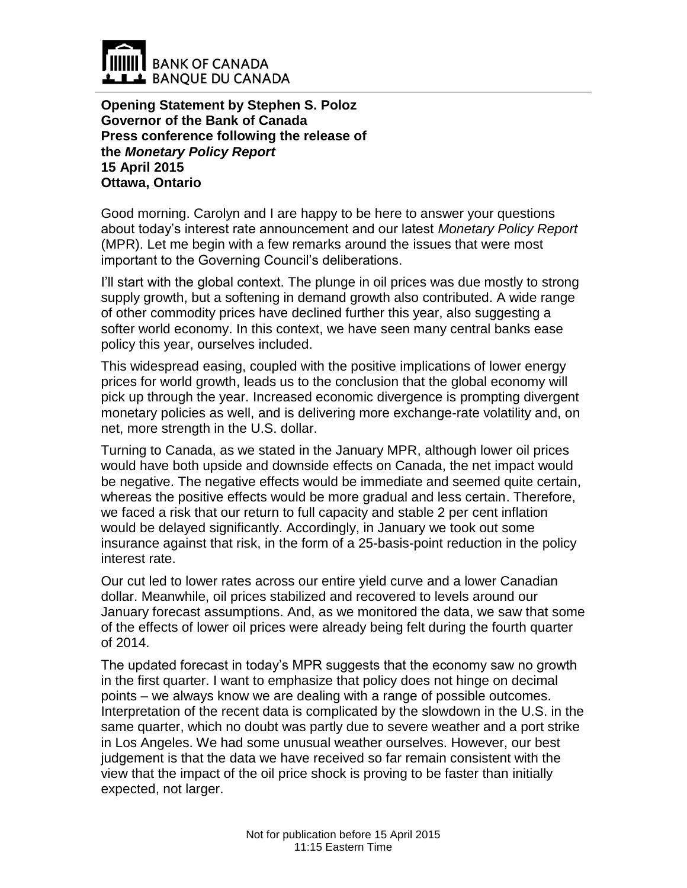

**Opening Statement by Stephen S. Poloz Governor of the Bank of Canada Press conference following the release of the** *Monetary Policy Report* **15 April 2015 Ottawa, Ontario**

Good morning. Carolyn and I are happy to be here to answer your questions about today's interest rate announcement and our latest *Monetary Policy Report* (MPR). Let me begin with a few remarks around the issues that were most important to the Governing Council's deliberations.

I'll start with the global context. The plunge in oil prices was due mostly to strong supply growth, but a softening in demand growth also contributed. A wide range of other commodity prices have declined further this year, also suggesting a softer world economy. In this context, we have seen many central banks ease policy this year, ourselves included.

This widespread easing, coupled with the positive implications of lower energy prices for world growth, leads us to the conclusion that the global economy will pick up through the year. Increased economic divergence is prompting divergent monetary policies as well, and is delivering more exchange-rate volatility and, on net, more strength in the U.S. dollar.

Turning to Canada, as we stated in the January MPR, although lower oil prices would have both upside and downside effects on Canada, the net impact would be negative. The negative effects would be immediate and seemed quite certain, whereas the positive effects would be more gradual and less certain. Therefore, we faced a risk that our return to full capacity and stable 2 per cent inflation would be delayed significantly. Accordingly, in January we took out some insurance against that risk, in the form of a 25-basis-point reduction in the policy interest rate.

Our cut led to lower rates across our entire yield curve and a lower Canadian dollar. Meanwhile, oil prices stabilized and recovered to levels around our January forecast assumptions. And, as we monitored the data, we saw that some of the effects of lower oil prices were already being felt during the fourth quarter of 2014.

The updated forecast in today's MPR suggests that the economy saw no growth in the first quarter. I want to emphasize that policy does not hinge on decimal points – we always know we are dealing with a range of possible outcomes. Interpretation of the recent data is complicated by the slowdown in the U.S. in the same quarter, which no doubt was partly due to severe weather and a port strike in Los Angeles. We had some unusual weather ourselves. However, our best judgement is that the data we have received so far remain consistent with the view that the impact of the oil price shock is proving to be faster than initially expected, not larger.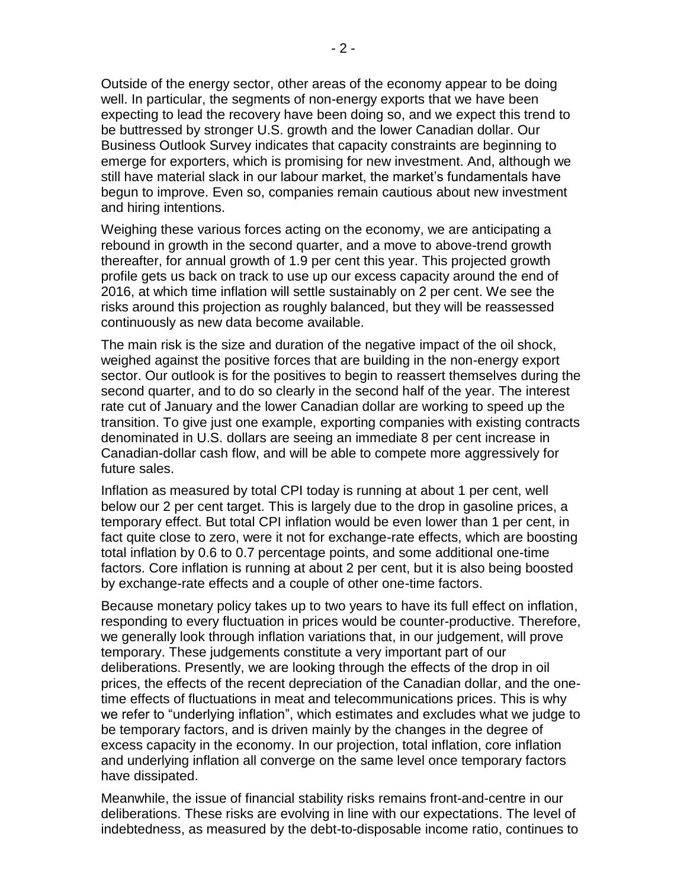Outside of the energy sector, other areas of the economy appear to be doing well. In particular, the segments of non-energy exports that we have been expecting to lead the recovery have been doing so, and we expect this trend to be buttressed by stronger U.S. growth and the lower Canadian dollar. Our Business Outlook Survey indicates that capacity constraints are beginning to emerge for exporters, which is promising for new investment. And, although we still have material slack in our labour market, the market's fundamentals have begun to improve. Even so, companies remain cautious about new investment and hiring intentions.

Weighing these various forces acting on the economy, we are anticipating a rebound in growth in the second quarter, and a move to above-trend growth thereafter, for annual growth of 1.9 per cent this year. This projected growth profile gets us back on track to use up our excess capacity around the end of 2016, at which time inflation will settle sustainably on 2 per cent. We see the risks around this projection as roughly balanced, but they will be reassessed continuously as new data become available.

The main risk is the size and duration of the negative impact of the oil shock, weighed against the positive forces that are building in the non-energy export sector. Our outlook is for the positives to begin to reassert themselves during the second quarter, and to do so clearly in the second half of the year. The interest rate cut of January and the lower Canadian dollar are working to speed up the transition. To give just one example, exporting companies with existing contracts denominated in U.S. dollars are seeing an immediate 8 per cent increase in Canadian-dollar cash flow, and will be able to compete more aggressively for future sales.

Inflation as measured by total CPI today is running at about 1 per cent, well below our 2 per cent target. This is largely due to the drop in gasoline prices, a temporary effect. But total CPI inflation would be even lower than 1 per cent, in fact quite close to zero, were it not for exchange-rate effects, which are boosting total inflation by 0.6 to 0.7 percentage points, and some additional one-time factors. Core inflation is running at about 2 per cent, but it is also being boosted by exchange-rate effects and a couple of other one-time factors.

Because monetary policy takes up to two years to have its full effect on inflation, responding to every fluctuation in prices would be counter-productive. Therefore, we generally look through inflation variations that, in our judgement, will prove temporary. These judgements constitute a very important part of our deliberations. Presently, we are looking through the effects of the drop in oil prices, the effects of the recent depreciation of the Canadian dollar, and the onetime effects of fluctuations in meat and telecommunications prices. This is why we refer to "underlying inflation", which estimates and excludes what we judge to be temporary factors, and is driven mainly by the changes in the degree of excess capacity in the economy. In our projection, total inflation, core inflation and underlying inflation all converge on the same level once temporary factors have dissipated.

Meanwhile, the issue of financial stability risks remains front-and-centre in our deliberations. These risks are evolving in line with our expectations. The level of indebtedness, as measured by the debt-to-disposable income ratio, continues to